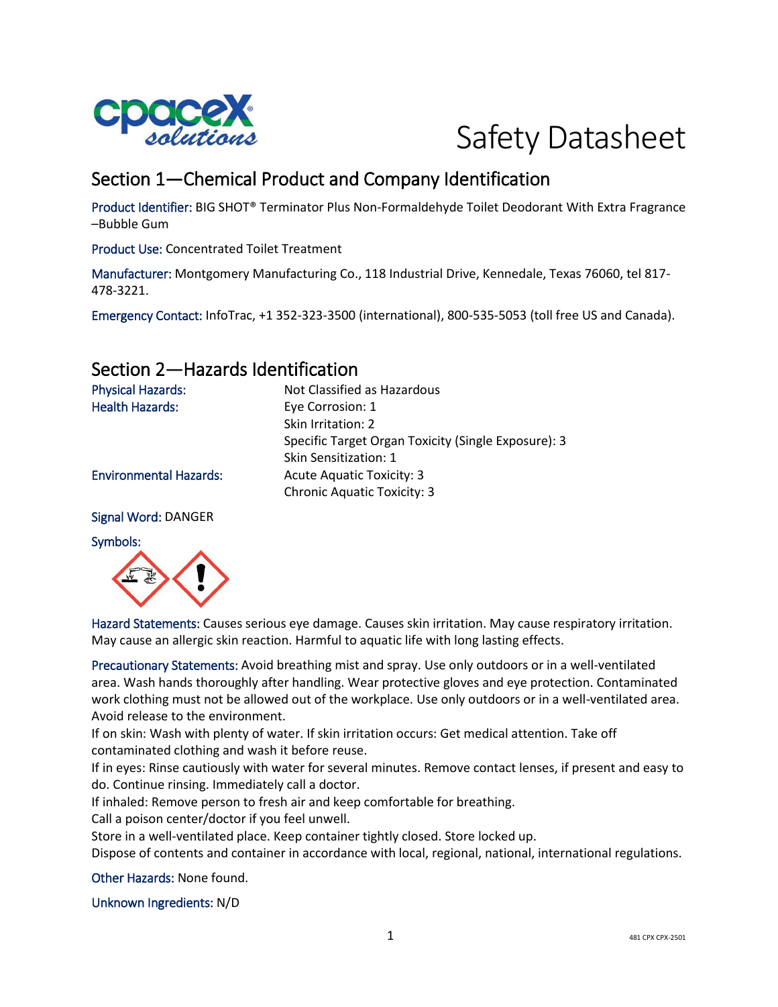

# Safety Datasheet

# Section 1—Chemical Product and Company Identification

Product Identifier: BIG SHOT® Terminator Plus Non-Formaldehyde Toilet Deodorant With Extra Fragrance –Bubble Gum

Product Use: Concentrated Toilet Treatment

Manufacturer: Montgomery Manufacturing Co., 118 Industrial Drive, Kennedale, Texas 76060, tel 817- 478-3221.

Emergency Contact: InfoTrac, +1 352-323-3500 (international), 800-535-5053 (toll free US and Canada).

## Section 2—Hazards Identification

| <b>Physical Hazards:</b>      | Not Classified as Hazardous                         |
|-------------------------------|-----------------------------------------------------|
| <b>Health Hazards:</b>        | Eye Corrosion: 1                                    |
|                               | Skin Irritation: 2                                  |
|                               | Specific Target Organ Toxicity (Single Exposure): 3 |
|                               | Skin Sensitization: 1                               |
| <b>Environmental Hazards:</b> | Acute Aquatic Toxicity: 3                           |
|                               | <b>Chronic Aquatic Toxicity: 3</b>                  |
|                               |                                                     |

Signal Word: DANGER

#### Symbols:



Hazard Statements: Causes serious eye damage. Causes skin irritation. May cause respiratory irritation. May cause an allergic skin reaction. Harmful to aquatic life with long lasting effects.

Precautionary Statements: Avoid breathing mist and spray. Use only outdoors or in a well-ventilated area. Wash hands thoroughly after handling. Wear protective gloves and eye protection. Contaminated work clothing must not be allowed out of the workplace. Use only outdoors or in a well-ventilated area. Avoid release to the environment.

If on skin: Wash with plenty of water. If skin irritation occurs: Get medical attention. Take off contaminated clothing and wash it before reuse.

If in eyes: Rinse cautiously with water for several minutes. Remove contact lenses, if present and easy to do. Continue rinsing. Immediately call a doctor.

If inhaled: Remove person to fresh air and keep comfortable for breathing.

Call a poison center/doctor if you feel unwell.

Store in a well-ventilated place. Keep container tightly closed. Store locked up.

Dispose of contents and container in accordance with local, regional, national, international regulations.

Other Hazards: None found.

Unknown Ingredients: N/D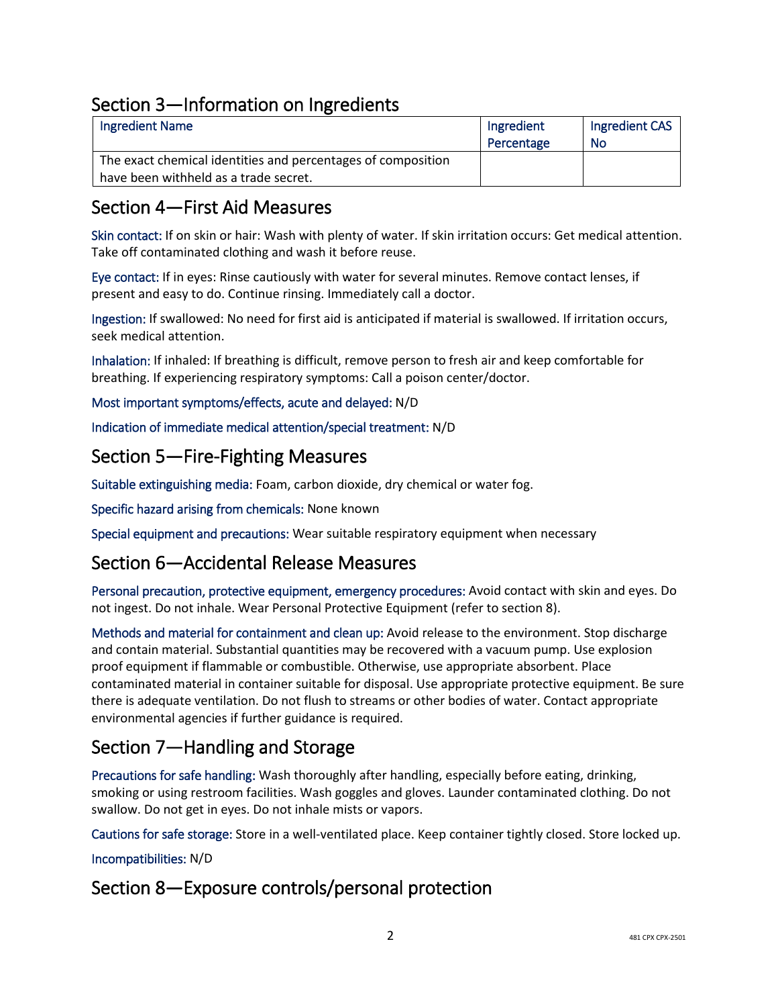# Section 3—Information on Ingredients

| <b>Ingredient Name</b>                                       | Ingredient | Ingredient CAS |
|--------------------------------------------------------------|------------|----------------|
|                                                              | Percentage | No             |
| The exact chemical identities and percentages of composition |            |                |
| have been withheld as a trade secret.                        |            |                |

## Section 4—First Aid Measures

Skin contact: If on skin or hair: Wash with plenty of water. If skin irritation occurs: Get medical attention. Take off contaminated clothing and wash it before reuse.

Eye contact: If in eyes: Rinse cautiously with water for several minutes. Remove contact lenses, if present and easy to do. Continue rinsing. Immediately call a doctor.

Ingestion: If swallowed: No need for first aid is anticipated if material is swallowed. If irritation occurs, seek medical attention.

Inhalation: If inhaled: If breathing is difficult, remove person to fresh air and keep comfortable for breathing. If experiencing respiratory symptoms: Call a poison center/doctor.

Most important symptoms/effects, acute and delayed: N/D

Indication of immediate medical attention/special treatment: N/D

### Section 5—Fire-Fighting Measures

Suitable extinguishing media: Foam, carbon dioxide, dry chemical or water fog.

Specific hazard arising from chemicals: None known

Special equipment and precautions: Wear suitable respiratory equipment when necessary

## Section 6—Accidental Release Measures

Personal precaution, protective equipment, emergency procedures: Avoid contact with skin and eyes. Do not ingest. Do not inhale. Wear Personal Protective Equipment (refer to section 8).

Methods and material for containment and clean up: Avoid release to the environment. Stop discharge and contain material. Substantial quantities may be recovered with a vacuum pump. Use explosion proof equipment if flammable or combustible. Otherwise, use appropriate absorbent. Place contaminated material in container suitable for disposal. Use appropriate protective equipment. Be sure there is adequate ventilation. Do not flush to streams or other bodies of water. Contact appropriate environmental agencies if further guidance is required.

# Section 7—Handling and Storage

Precautions for safe handling: Wash thoroughly after handling, especially before eating, drinking, smoking or using restroom facilities. Wash goggles and gloves. Launder contaminated clothing. Do not swallow. Do not get in eyes. Do not inhale mists or vapors.

Cautions for safe storage: Store in a well-ventilated place. Keep container tightly closed. Store locked up.

Incompatibilities: N/D

# Section 8—Exposure controls/personal protection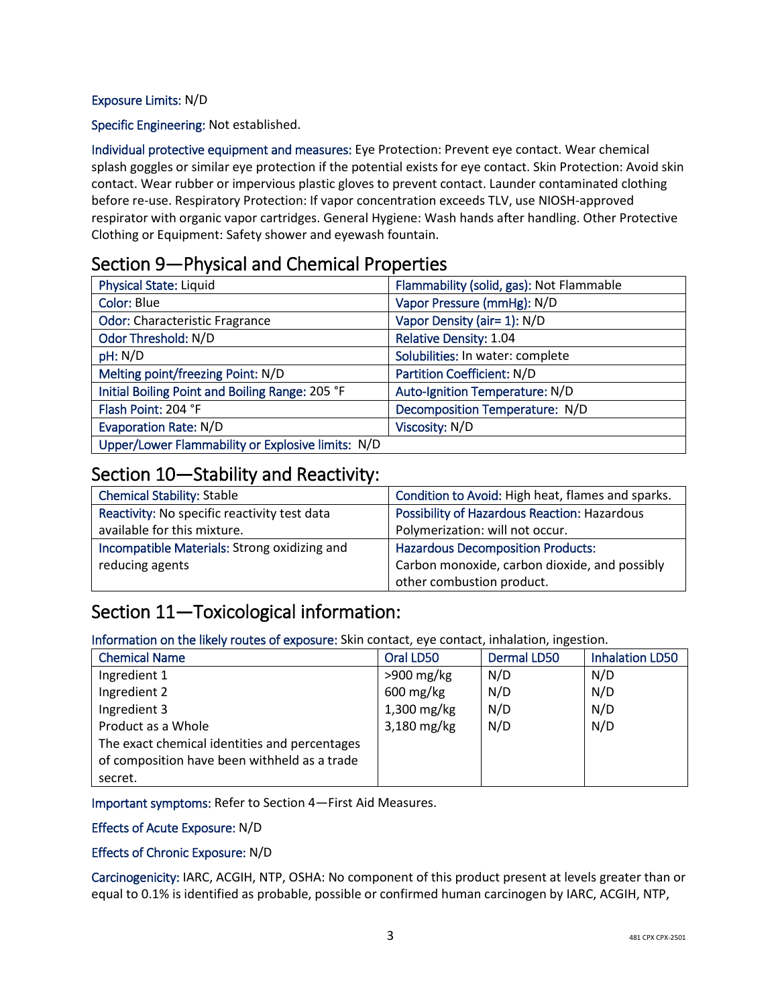#### Exposure Limits: N/D

Specific Engineering: Not established.

Individual protective equipment and measures: Eye Protection: Prevent eye contact. Wear chemical splash goggles or similar eye protection if the potential exists for eye contact. Skin Protection: Avoid skin contact. Wear rubber or impervious plastic gloves to prevent contact. Launder contaminated clothing before re-use. Respiratory Protection: If vapor concentration exceeds TLV, use NIOSH-approved respirator with organic vapor cartridges. General Hygiene: Wash hands after handling. Other Protective Clothing or Equipment: Safety shower and eyewash fountain.

### Section 9—Physical and Chemical Properties

| <b>Physical State: Liquid</b>                     | Flammability (solid, gas): Not Flammable |
|---------------------------------------------------|------------------------------------------|
| <b>Color: Blue</b>                                | Vapor Pressure (mmHg): N/D               |
| <b>Odor: Characteristic Fragrance</b>             | Vapor Density (air= 1): N/D              |
| Odor Threshold: N/D                               | <b>Relative Density: 1.04</b>            |
| pH: N/D                                           | Solubilities: In water: complete         |
| Melting point/freezing Point: N/D                 | <b>Partition Coefficient: N/D</b>        |
| Initial Boiling Point and Boiling Range: 205 °F   | Auto-Ignition Temperature: N/D           |
| Flash Point: 204 °F                               | Decomposition Temperature: N/D           |
| <b>Evaporation Rate: N/D</b>                      | Viscosity: N/D                           |
| Upper/Lower Flammability or Explosive limits: N/D |                                          |

#### Section 10—Stability and Reactivity:

| <b>Chemical Stability: Stable</b>            | Condition to Avoid: High heat, flames and sparks.   |  |
|----------------------------------------------|-----------------------------------------------------|--|
| Reactivity: No specific reactivity test data | <b>Possibility of Hazardous Reaction: Hazardous</b> |  |
| available for this mixture.                  | Polymerization: will not occur.                     |  |
| Incompatible Materials: Strong oxidizing and | <b>Hazardous Decomposition Products:</b>            |  |
| reducing agents                              | Carbon monoxide, carbon dioxide, and possibly       |  |
|                                              | other combustion product.                           |  |

## Section 11—Toxicological information:

Information on the likely routes of exposure: Skin contact, eye contact, inhalation, ingestion.

| <b>Chemical Name</b>                          | Oral LD50              | <b>Dermal LD50</b> | <b>Inhalation LD50</b> |
|-----------------------------------------------|------------------------|--------------------|------------------------|
| Ingredient 1                                  | $>900$ mg/kg           | N/D                | N/D                    |
| Ingredient 2                                  | $600 \,\mathrm{mg/kg}$ | N/D                | N/D                    |
| Ingredient 3                                  | $1,300$ mg/kg          | N/D                | N/D                    |
| Product as a Whole                            | 3,180 mg/kg            | N/D                | N/D                    |
| The exact chemical identities and percentages |                        |                    |                        |
| of composition have been withheld as a trade  |                        |                    |                        |
| secret.                                       |                        |                    |                        |

Important symptoms: Refer to Section 4—First Aid Measures.

#### Effects of Acute Exposure: N/D

#### Effects of Chronic Exposure: N/D

Carcinogenicity: IARC, ACGIH, NTP, OSHA: No component of this product present at levels greater than or equal to 0.1% is identified as probable, possible or confirmed human carcinogen by IARC, ACGIH, NTP,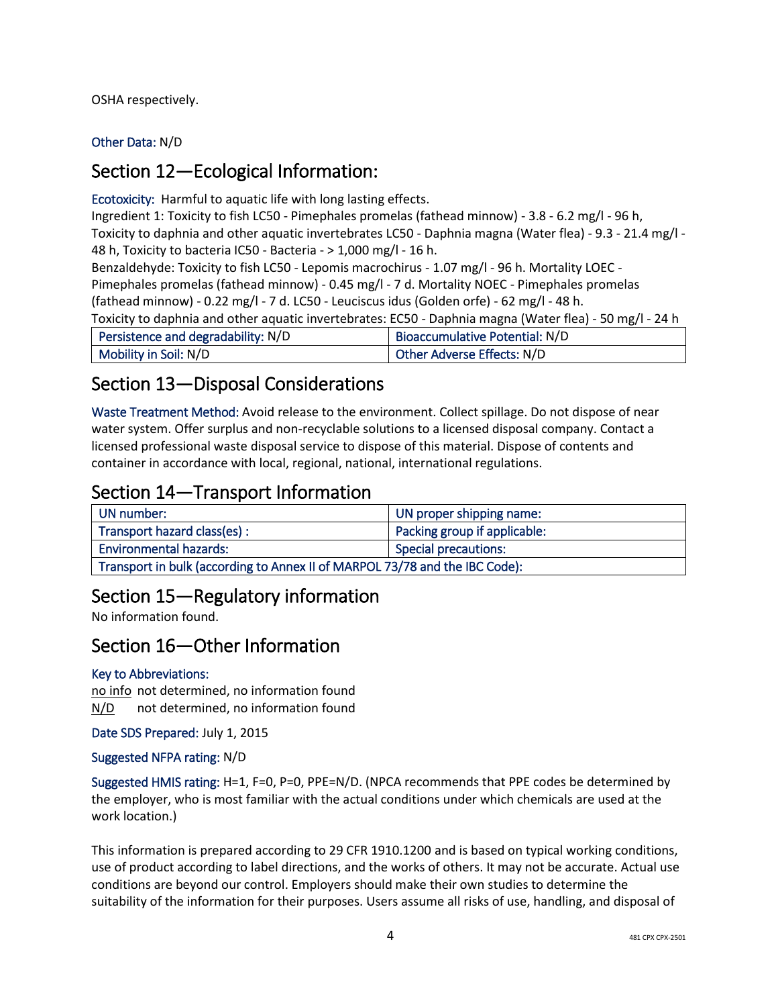OSHA respectively.

Other Data: N/D

## Section 12—Ecological Information:

Ecotoxicity: Harmful to aquatic life with long lasting effects.

Ingredient 1: Toxicity to fish LC50 - Pimephales promelas (fathead minnow) - 3.8 - 6.2 mg/l - 96 h, Toxicity to daphnia and other aquatic invertebrates LC50 - Daphnia magna (Water flea) - 9.3 - 21.4 mg/l - 48 h, Toxicity to bacteria IC50 - Bacteria - > 1,000 mg/l - 16 h. Benzaldehyde: Toxicity to fish LC50 - Lepomis macrochirus - 1.07 mg/l - 96 h. Mortality LOEC - Pimephales promelas (fathead minnow) - 0.45 mg/l - 7 d. Mortality NOEC - Pimephales promelas (fathead minnow) - 0.22 mg/l - 7 d. LC50 - Leuciscus idus (Golden orfe) - 62 mg/l - 48 h. Toxicity to daphnia and other aquatic invertebrates: EC50 - Daphnia magna (Water flea) - 50 mg/l - 24 h Persistence and degradability: N/D | Bioaccumulative Potential: N/D Mobility in Soil: N/D  $\vert$  Other Adverse Effects: N/D

# Section 13—Disposal Considerations

Waste Treatment Method: Avoid release to the environment. Collect spillage. Do not dispose of near water system. Offer surplus and non-recyclable solutions to a licensed disposal company. Contact a licensed professional waste disposal service to dispose of this material. Dispose of contents and container in accordance with local, regional, national, international regulations.

# Section 14—Transport Information

| UN number:                                                                  | UN proper shipping name:     |  |
|-----------------------------------------------------------------------------|------------------------------|--|
| Transport hazard class(es) :                                                | Packing group if applicable: |  |
| <b>Environmental hazards:</b>                                               | <b>Special precautions:</b>  |  |
| Transport in bulk (according to Annex II of MARPOL 73/78 and the IBC Code): |                              |  |

# Section 15—Regulatory information

No information found.

# Section 16—Other Information

#### Key to Abbreviations:

no info not determined, no information found N/D not determined, no information found

Date SDS Prepared: July 1, 2015

Suggested NFPA rating: N/D

Suggested HMIS rating: H=1, F=0, P=0, PPE=N/D. (NPCA recommends that PPE codes be determined by the employer, who is most familiar with the actual conditions under which chemicals are used at the work location.)

This information is prepared according to 29 CFR 1910.1200 and is based on typical working conditions, use of product according to label directions, and the works of others. It may not be accurate. Actual use conditions are beyond our control. Employers should make their own studies to determine the suitability of the information for their purposes. Users assume all risks of use, handling, and disposal of